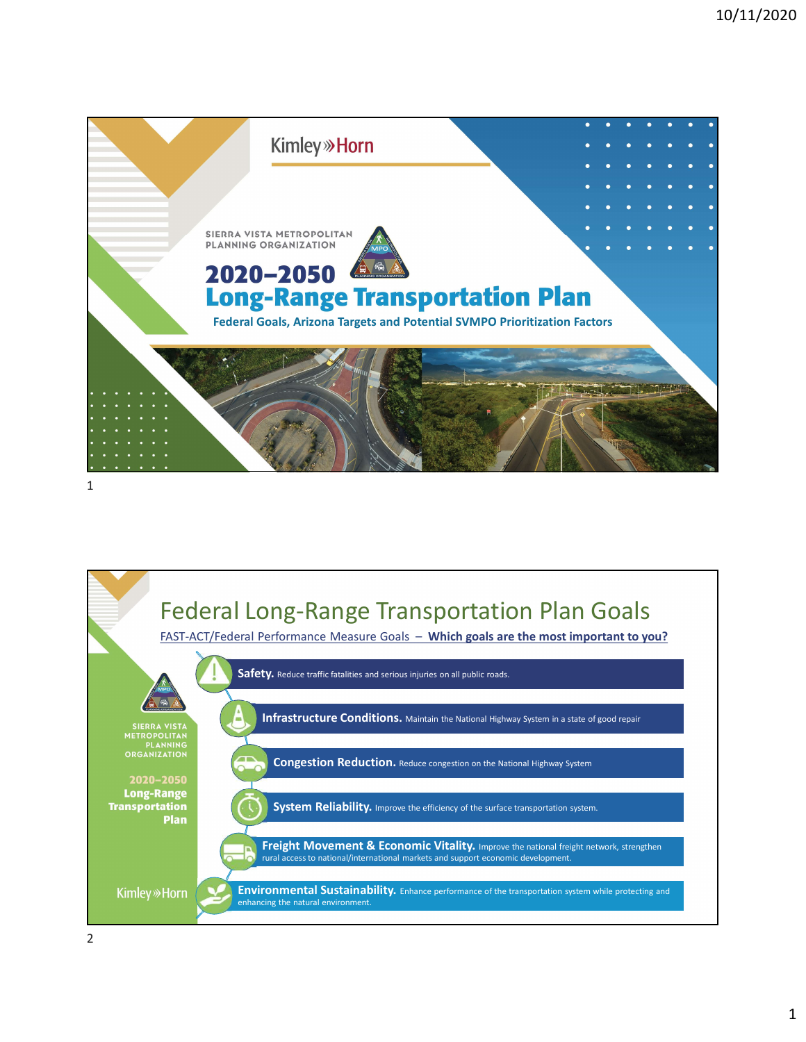